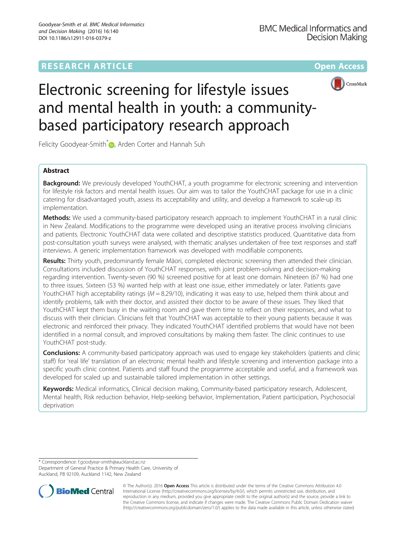

# Electronic screening for lifestyle issues and mental health in youth: a communitybased participatory research approach

Felicity Goodyear-Smith<sup>[\\*](http://orcid.org/0000-0002-6657-9401)</sup> , Arden Corter and Hannah Suh

# Abstract

**Background:** We previously developed YouthCHAT, a youth programme for electronic screening and intervention for lifestyle risk factors and mental health issues. Our aim was to tailor the YouthCHAT package for use in a clinic catering for disadvantaged youth, assess its acceptability and utility, and develop a framework to scale-up its implementation.

Methods: We used a community-based participatory research approach to implement YouthCHAT in a rural clinic in New Zealand. Modifications to the programme were developed using an iterative process involving clinicians and patients. Electronic YouthCHAT data were collated and descriptive statistics produced. Quantitative data from post-consultation youth surveys were analysed, with thematic analyses undertaken of free text responses and staff interviews. A generic implementation framework was developed with modifiable components.

Results: Thirty youth, predominantly female Māori, completed electronic screening then attended their clinician. Consultations included discussion of YouthCHAT responses, with joint problem-solving and decision-making regarding intervention. Twenty-seven (90 %) screened positive for at least one domain. Nineteen (67 %) had one to three issues. Sixteen (53 %) wanted help with at least one issue, either immediately or later. Patients gave YouthCHAT high acceptability ratings ( $M = 8.29/10$ ), indicating it was easy to use, helped them think about and identify problems, talk with their doctor, and assisted their doctor to be aware of these issues. They liked that YouthCHAT kept them busy in the waiting room and gave them time to reflect on their responses, and what to discuss with their clinician. Clinicians felt that YouthCHAT was acceptable to their young patients because it was electronic and reinforced their privacy. They indicated YouthCHAT identified problems that would have not been identified in a normal consult, and improved consultations by making them faster. The clinic continues to use YouthCHAT post-study.

**Conclusions:** A community-based participatory approach was used to engage key stakeholders (patients and clinic staff) for 'real life' translation of an electronic mental health and lifestyle screening and intervention package into a specific youth clinic context. Patients and staff found the programme acceptable and useful, and a framework was developed for scaled up and sustainable tailored implementation in other settings.

Keywords: Medical informatics, Clinical decision making, Community-based participatory research, Adolescent, Mental health, Risk reduction behavior, Help-seeking behavior, Implementation, Patient participation, Psychosocial deprivation

\* Correspondence: [f.goodyear-smith@auckland.ac.nz](mailto:f.goodyear-smith@auckland.ac.nz)

Department of General Practice & Primary Health Care, University of Auckland, PB 92109, Auckland 1142, New Zealand



© The Author(s). 2016 Open Access This article is distributed under the terms of the Creative Commons Attribution 4.0 International License [\(http://creativecommons.org/licenses/by/4.0/](http://creativecommons.org/licenses/by/4.0/)), which permits unrestricted use, distribution, and reproduction in any medium, provided you give appropriate credit to the original author(s) and the source, provide a link to the Creative Commons license, and indicate if changes were made. The Creative Commons Public Domain Dedication waiver [\(http://creativecommons.org/publicdomain/zero/1.0/](http://creativecommons.org/publicdomain/zero/1.0/)) applies to the data made available in this article, unless otherwise stated.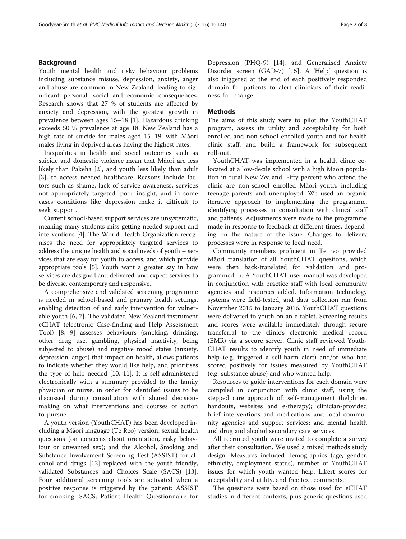# Background

Youth mental health and risky behaviour problems including substance misuse, depression, anxiety, anger and abuse are common in New Zealand, leading to significant personal, social and economic consequences. Research shows that 27 % of students are affected by anxiety and depression, with the greatest growth in prevalence between ages 15–18 [[1\]](#page-7-0). Hazardous drinking exceeds 50 % prevalence at age 18. New Zealand has a high rate of suicide for males aged 15–19, with Māori males living in deprived areas having the highest rates.

Inequalities in health and social outcomes such as suicide and domestic violence mean that Māori are less likely than Pakeha [[2](#page-7-0)], and youth less likely than adult [[3\]](#page-7-0), to access needed healthcare. Reasons include factors such as shame, lack of service awareness, services not appropriately targeted, poor insight, and in some cases conditions like depression make it difficult to seek support.

Current school-based support services are unsystematic, meaning many students miss getting needed support and interventions [\[4\]](#page-7-0). The World Health Organization recognises the need for appropriately targeted services to address the unique health and social needs of youth – services that are easy for youth to access, and which provide appropriate tools [\[5](#page-7-0)]. Youth want a greater say in how services are designed and delivered, and expect services to be diverse, contemporary and responsive.

A comprehensive and validated screening programme is needed in school-based and primary health settings, enabling detection of and early intervention for vulnerable youth [[6, 7\]](#page-7-0). The validated New Zealand instrument eCHAT (electronic Case-finding and Help Assessment Tool) [[8, 9\]](#page-7-0) assesses behaviours (smoking, drinking, other drug use, gambling, physical inactivity, being subjected to abuse) and negative mood states (anxiety, depression, anger) that impact on health, allows patients to indicate whether they would like help, and prioritises the type of help needed [[10](#page-7-0), [11](#page-7-0)]. It is self-administered electronically with a summary provided to the family physician or nurse, in order for identified issues to be discussed during consultation with shared decisionmaking on what interventions and courses of action to pursue.

A youth version (YouthCHAT) has been developed including a Māori language (Te Reo) version, sexual health questions (on concerns about orientation, risky behaviour or unwanted sex); and the Alcohol, Smoking and Substance Involvement Screening Test (ASSIST) for alcohol and drugs [[12\]](#page-7-0) replaced with the youth-friendly, validated Substances and Choices Scale (SACS) [\[13](#page-7-0)]. Four additional screening tools are activated when a positive response is triggered by the patient: ASSIST for smoking; SACS; Patient Health Questionnaire for Depression (PHQ-9) [[14\]](#page-7-0), and Generalised Anxiety Disorder screen (GAD-7) [[15](#page-7-0)]. A 'Help' question is also triggered at the end of each positively responded domain for patients to alert clinicians of their readiness for change.

# **Methods**

The aims of this study were to pilot the YouthCHAT program, assess its utility and acceptability for both enrolled and non-school enrolled youth and for health clinic staff, and build a framework for subsequent roll-out.

YouthCHAT was implemented in a health clinic colocated at a low-decile school with a high Māori population in rural New Zealand. Fifty percent who attend the clinic are non-school enrolled Māori youth, including teenage parents and unemployed. We used an organic iterative approach to implementing the programme, identifying processes in consultation with clinical staff and patients. Adjustments were made to the programme made in response to feedback at different times, depending on the nature of the issue. Changes to delivery processes were in response to local need.

Community members proficient in Te reo provided Māori translation of all YouthCHAT questions, which were then back-translated for validation and programmed in. A YouthCHAT user manual was developed in conjunction with practice staff with local community agencies and resources added. Information technology systems were field-tested, and data collection ran from November 2015 to January 2016. YouthCHAT questions were delivered to youth on an e-tablet. Screening results and scores were available immediately through secure transferral to the clinic's electronic medical record (EMR) via a secure server. Clinic staff reviewed Youth-CHAT results to identify youth in need of immediate help (e.g. triggered a self-harm alert) and/or who had scored positively for issues measured by YouthCHAT (e.g. substance abuse) and who wanted help.

Resources to guide interventions for each domain were compiled in conjunction with clinic staff, using the stepped care approach of: self-management (helplines, handouts, websites and e-therapy); clinician-provided brief interventions and medications and local community agencies and support services; and mental health and drug and alcohol secondary care services.

All recruited youth were invited to complete a survey after their consultation. We used a mixed methods study design. Measures included demographics (age, gender, ethnicity, employment status), number of YouthCHAT issues for which youth wanted help, Likert scores for acceptability and utility, and free text comments.

The questions were based on those used for eCHAT studies in different contexts, plus generic questions used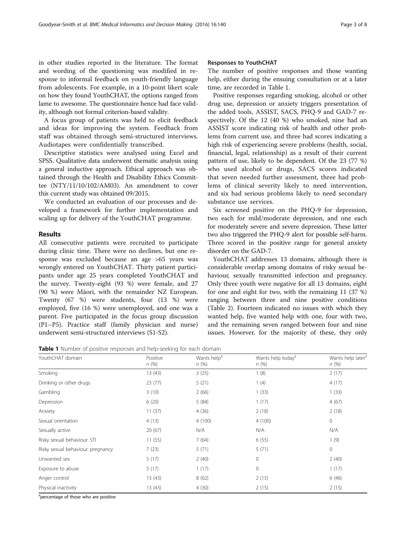in other studies reported in the literature. The format and wording of the questioning was modified in response to informal feedback on youth-friendly language from adolescents. For example, in a 10-point likert scale on how they found YouthCHAT, the options ranged from lame to awesome. The questionnaire hence had face validity, although not formal criterion-based validity.

A focus group of patients was held to elicit feedback and ideas for improving the system. Feedback from staff was obtained through semi-structured interviews. Audiotapes were confidentially transcribed.

Descriptive statistics were analysed using Excel and SPSS. Qualitative data underwent thematic analysis using a general inductive approach. Ethical approach was obtained through the Health and Disability Ethics Committee (NTY/11/10/102/AM03). An amendment to cover this current study was obtained 09/2015.

We conducted an evaluation of our processes and developed a framework for further implementation and scaling up for delivery of the YouthCHAT programme.

# Results

All consecutive patients were recruited to participate during clinic time. There were no declines, but one response was excluded because an age >65 years was wrongly entered on YouthCHAT. Thirty patient participants under age 25 years completed YouthCHAT and the survey. Twenty-eight (93 %) were female, and 27 (90 %) were Māori, with the remainder NZ European. Twenty (67 %) were students, four (13 %) were employed, five (16 %) were unemployed, and one was a parent. Five participated in the focus group discussion (P1–P5). Practice staff (family physician and nurse) underwent semi-structured interviews (S1-S2).

## Responses to YouthCHAT

The number of positive responses and those wanting help, either during the ensuing consultation or at a later time, are recorded in Table 1.

Positive responses regarding smoking, alcohol or other drug use, depression or anxiety triggers presentation of the added tools, ASSIST, SACS, PHQ-9 and GAD-7 respectively. Of the 12 (40 %) who smoked, nine had an ASSIST score indicating risk of health and other problems from current use, and three had scores indicating a high risk of experiencing severe problems (health, social, financial, legal, relationship) as a result of their current pattern of use, likely to be dependent. Of the 23 (77 %) who used alcohol or drugs, SACS scores indicated that seven needed further assessment, three had problems of clinical severity likely to need intervention, and six had serious problems likely to need secondary substance use services.

Six screened positive on the PHQ-9 for depression, two each for mild/moderate depression, and one each for moderately severe and severe depression. These latter two also triggered the PHQ-9 alert for possible self-harm. Three scored in the positive range for general anxiety disorder on the GAD-7.

YouthCHAT addresses 13 domains, although there is considerable overlap among domains of risky sexual behaviour, sexually transmitted infection and pregnancy. Only three youth were negative for all 13 domains, eight for one and eight for two, with the remaining 11 (37 %) ranging between three and nine positive conditions (Table [2\)](#page-3-0). Fourteen indicated no issues with which they wanted help, five wanted help with one, four with two, and the remaining seven ranged between four and nine issues. However, for the majority of these, they only

Table 1 Number of positive responses and help-seeking for each domain

| YouthCHAT domain                  | Positive<br>n(%) | Wants help <sup>a</sup><br>n(%) | Wants help today <sup>a</sup><br>n(%) | Wants help later <sup>a</sup><br>n(%)<br>2(17) |  |
|-----------------------------------|------------------|---------------------------------|---------------------------------------|------------------------------------------------|--|
| Smoking                           | 13(43)           | 3(25)                           | 1(8)                                  |                                                |  |
| Drinking or other drugs           | 23(77)           | 5(21)                           | 1(4)                                  | 4(17)                                          |  |
| Gambling                          | 3(10)            | 2(66)                           | 1(33)                                 | 1(33)                                          |  |
| Depression                        | 6(20)            | 5(84)                           | 1(17)                                 | 4(67)                                          |  |
| Anxiety                           | 11(37)           | 4(36)                           | 2(18)                                 | 2(18)                                          |  |
| Sexual orientation                | 4(13)            | 4(100)                          | 4(100)                                | $\mathbf 0$                                    |  |
| Sexually active                   | 20(67)           | N/A                             | N/A                                   | N/A                                            |  |
| Risky sexual behaviour: STI       | 11(55)           | 7(64)                           | 6(55)                                 | 1(9)                                           |  |
| Risky sexual behaviour: pregnancy | 7(23)            | 5(71)                           | 5(71)                                 | $\mathbf 0$                                    |  |
| Unwanted sex                      | 5(17)            | 2(40)                           | $\mathbf{0}$                          | 2(40)                                          |  |
| Exposure to abuse                 | 5(17)            | 1(17)                           | $\mathbf{0}$                          | 1(17)                                          |  |
| Anger control                     | 13(43)           | 8(62)                           | 2(15)                                 | 6(46)                                          |  |
| Physical inactivity               | 13(43)           | 4(30)                           | 2(15)                                 | 2(15)                                          |  |

<sup>a</sup>percentage of those who are positive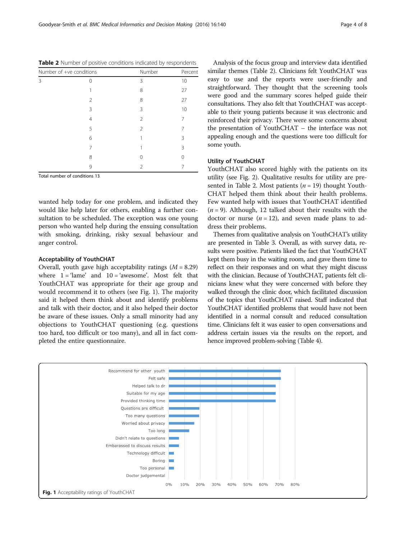| Number of +ve conditions |               | Number | Percent |  |
|--------------------------|---------------|--------|---------|--|
| 3                        |               | 3      | 10      |  |
|                          |               | 8      | 27      |  |
|                          | $\mathcal{P}$ | 8      | 27      |  |
|                          | 3             | 3      | 10      |  |
|                          | 4             | 2      | 7       |  |
|                          | 5             | 2      | 7       |  |
|                          | 6             |        | 3       |  |
|                          | 7             |        | 3       |  |
|                          | 8             | 0      | 0       |  |
|                          | 9             | 2      | 7       |  |

<span id="page-3-0"></span>Table 2 Number of positive conditions indicated by respondents

Total number of conditions 13

wanted help today for one problem, and indicated they would like help later for others, enabling a further consultation to be scheduled. The exception was one young person who wanted help during the ensuing consultation with smoking, drinking, risky sexual behaviour and anger control.

# Acceptability of YouthCHAT

Overall, youth gave high acceptability ratings  $(M = 8.29)$ where  $1 = 'lame'$  and  $10 = 'awesome'.$  Most felt that YouthCHAT was appropriate for their age group and would recommend it to others (see Fig. 1). The majority said it helped them think about and identify problems and talk with their doctor, and it also helped their doctor be aware of these issues. Only a small minority had any objections to YouthCHAT questioning (e.g. questions too hard, too difficult or too many), and all in fact completed the entire questionnaire.

Analysis of the focus group and interview data identified similar themes (Table 2). Clinicians felt YouthCHAT was easy to use and the reports were user-friendly and straightforward. They thought that the screening tools were good and the summary scores helped guide their consultations. They also felt that YouthCHAT was acceptable to their young patients because it was electronic and reinforced their privacy. There were some concerns about the presentation of YouthCHAT – the interface was not appealing enough and the questions were too difficult for some youth.

## Utility of YouthCHAT

YouthCHAT also scored highly with the patients on its utility (see Fig. [2\)](#page-4-0). Qualitative results for utility are presented in Table 2. Most patients ( $n = 19$ ) thought Youth-CHAT helped them think about their health problems. Few wanted help with issues that YouthCHAT identified  $(n = 9)$ . Although, 12 talked about their results with the doctor or nurse  $(n = 12)$ , and seven made plans to address their problems.

Themes from qualitative analysis on YouthCHAT's utility are presented in Table [3](#page-4-0). Overall, as with survey data, results were positive. Patients liked the fact that YouthCHAT kept them busy in the waiting room, and gave them time to reflect on their responses and on what they might discuss with the clinician. Because of YouthCHAT, patients felt clinicians knew what they were concerned with before they walked through the clinic door, which facilitated discussion of the topics that YouthCHAT raised. Staff indicated that YouthCHAT identified problems that would have not been identified in a normal consult and reduced consultation time. Clinicians felt it was easier to open conversations and address certain issues via the results on the report, and hence improved problem-solving (Table [4](#page-5-0)).

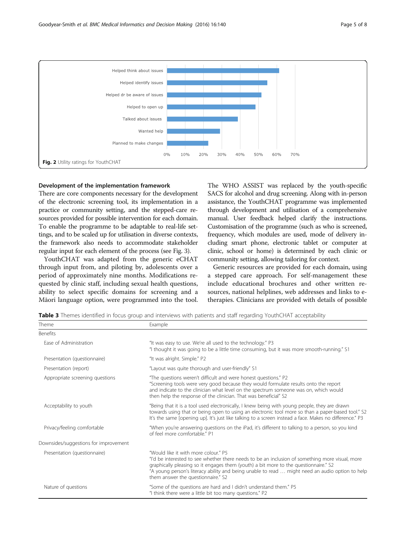<span id="page-4-0"></span>

# Development of the implementation framework

There are core components necessary for the development of the electronic screening tool, its implementation in a practice or community setting, and the stepped-care resources provided for possible intervention for each domain. To enable the programme to be adaptable to real-life settings, and to be scaled up for utilisation in diverse contexts, the framework also needs to accommodate stakeholder regular input for each element of the process (see Fig. [3](#page-5-0)).

YouthCHAT was adapted from the generic eCHAT through input from, and piloting by, adolescents over a period of approximately nine months. Modifications requested by clinic staff, including sexual health questions, ability to select specific domains for screening and a Māori language option, were programmed into the tool.

The WHO ASSIST was replaced by the youth-specific SACS for alcohol and drug screening. Along with in-person assistance, the YouthCHAT programme was implemented through development and utilisation of a comprehensive manual. User feedback helped clarify the instructions. Customisation of the programme (such as who is screened, frequency, which modules are used, mode of delivery including smart phone, electronic tablet or computer at clinic, school or home) is determined by each clinic or community setting, allowing tailoring for context.

Generic resources are provided for each domain, using a stepped care approach. For self-management these include educational brochures and other written resources, national helplines, web addresses and links to etherapies. Clinicians are provided with details of possible

Table 3 Themes identified in focus group and interviews with patients and staff regarding YouthCHAT acceptability

| Theme                                                                                                                                                                                                                                                                                                                                                                                                    | Example                                                                                                                                                                                                                                                                                                             |  |  |  |
|----------------------------------------------------------------------------------------------------------------------------------------------------------------------------------------------------------------------------------------------------------------------------------------------------------------------------------------------------------------------------------------------------------|---------------------------------------------------------------------------------------------------------------------------------------------------------------------------------------------------------------------------------------------------------------------------------------------------------------------|--|--|--|
| <b>Benefits</b>                                                                                                                                                                                                                                                                                                                                                                                          |                                                                                                                                                                                                                                                                                                                     |  |  |  |
| Ease of Administration                                                                                                                                                                                                                                                                                                                                                                                   | "It was easy to use. We're all used to the technology." P3<br>"I thought it was going to be a little time consuming, but it was more smooth-running." S1                                                                                                                                                            |  |  |  |
| Presentation (questionnaire)                                                                                                                                                                                                                                                                                                                                                                             | "It was alright. Simple." P2                                                                                                                                                                                                                                                                                        |  |  |  |
| Presentation (report)                                                                                                                                                                                                                                                                                                                                                                                    | "Layout was quite thorough and user-friendly" S1                                                                                                                                                                                                                                                                    |  |  |  |
| Appropriate screening questions                                                                                                                                                                                                                                                                                                                                                                          | "The questions weren't difficult and were honest questions." P2<br>"Screening tools were very good because they would formulate results onto the report<br>and indicate to the clinician what level on the spectrum someone was on, which would<br>then help the response of the clinician. That was beneficial" S2 |  |  |  |
| Acceptability to youth                                                                                                                                                                                                                                                                                                                                                                                   | "Being that it is a tool used electronically, I knew being with young people, they are drawn<br>towards using that or being open to using an electronic tool more so than a paper-based tool." S2<br>It's the same [opening up]. It's just like talking to a screen instead a face. Makes no difference." P3        |  |  |  |
| Privacy/feeling comfortable                                                                                                                                                                                                                                                                                                                                                                              | "When you're answering questions on the iPad, it's different to talking to a person, so you kind<br>of feel more comfortable." P1                                                                                                                                                                                   |  |  |  |
| Downsides/suggestions for improvement                                                                                                                                                                                                                                                                                                                                                                    |                                                                                                                                                                                                                                                                                                                     |  |  |  |
| "Would like it with more colour." P5<br>Presentation (questionnaire)<br>"I'd be interested to see whether there needs to be an inclusion of something more visual, more<br>graphically pleasing so it engages them (youth) a bit more to the questionnaire." S2<br>"A young person's literacy ability and being unable to read  might need an audio option to help<br>them answer the questionnaire." S2 |                                                                                                                                                                                                                                                                                                                     |  |  |  |
| Nature of questions                                                                                                                                                                                                                                                                                                                                                                                      | "Some of the questions are hard and I didn't understand them." P5<br>"I think there were a little bit too many questions." P2                                                                                                                                                                                       |  |  |  |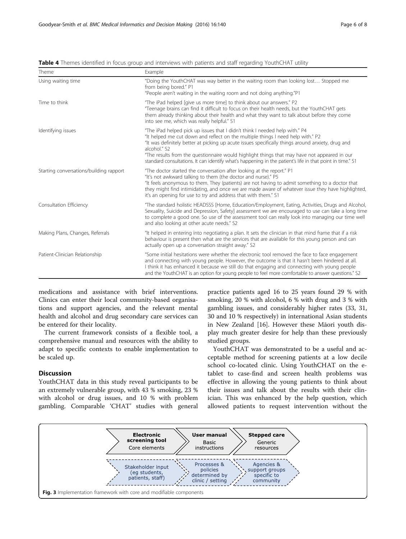<span id="page-5-0"></span>

|  |  |  |  |  | <b>Table 4</b> Themes identified in focus group and interviews with patients and staff regarding YouthCHAT utility |  |
|--|--|--|--|--|--------------------------------------------------------------------------------------------------------------------|--|
|  |  |  |  |  |                                                                                                                    |  |

| Theme                                   | Example                                                                                                                                                                                                                                                                                                                                                                                                                                                                                          |  |  |  |
|-----------------------------------------|--------------------------------------------------------------------------------------------------------------------------------------------------------------------------------------------------------------------------------------------------------------------------------------------------------------------------------------------------------------------------------------------------------------------------------------------------------------------------------------------------|--|--|--|
| Using waiting time                      | "Doing the YouthCHAT was way better in the waiting room than looking lost Stopped me<br>from being bored." P1<br>"People aren't waiting in the waiting room and not doing anything."P1                                                                                                                                                                                                                                                                                                           |  |  |  |
| Time to think                           | "The iPad helped [give us more time] to think about our answers." P2<br>"Teenage brains can find it difficult to focus on their health needs, but the YouthCHAT gets<br>them already thinking about their health and what they want to talk about before they come<br>into see me, which was really helpful." S1                                                                                                                                                                                 |  |  |  |
| Identifying issues                      | "The iPad helped pick up issues that I didn't think I needed help with." P4<br>"It helped me cut down and reflect on the multiple things I need help with." P2<br>"It was definitely better at picking up acute issues specifically things around anxiety, drug and<br>alcohol." S2<br>"The results from the questionnaire would highlight things that may have not appeared in our<br>standard consultations. It can identify what's happening in the patient's life in that point in time." S1 |  |  |  |
| Starting conversations/building rapport | "The doctor started the conversation after looking at the report." P1<br>"It's not awkward talking to them (the doctor and nurse)." P5<br>"It feels anonymous to them. They (patients) are not having to admit something to a doctor that<br>they might find intimidating, and once we are made aware of whatever issue they have highlighted,<br>it's an opening for use to try and address that with them." S1                                                                                 |  |  |  |
| Consultation Efficiency                 | "The standard holistic HEADSSS [Home, Education/Employment, Eating, Activities, Drugs and Alcohol,<br>Sexuality, Suicide and Depression, Safety] assessment we are encouraged to use can take a long time<br>to complete a good one. So use of the assessment tool can really look into managing our time well<br>and also looking at other acute needs." S2                                                                                                                                     |  |  |  |
| Making Plans, Changes, Referrals        | "It helped in entering into negotiating a plan. It sets the clinician in that mind frame that if a risk<br>behaviour is present then what are the services that are available for this young person and can<br>actually open up a conversation straight away." S2                                                                                                                                                                                                                                |  |  |  |
| Patient-Clinician Relationship          | "Some initial hesitations were whether the electronic tool removed the face to face engagement<br>and connecting with young people. However, the outcome is that it hasn't been hindered at all.<br>I think it has enhanced it because we still do that engaging and connecting with young people<br>and the YouthCHAT is an option for young people to feel more comfortable to answer questions." S2                                                                                           |  |  |  |

medications and assistance with brief interventions. Clinics can enter their local community-based organisations and support agencies, and the relevant mental health and alcohol and drug secondary care services can be entered for their locality.

The current framework consists of a flexible tool, a comprehensive manual and resources with the ability to adapt to specific contexts to enable implementation to be scaled up.

# **Discussion**

YouthCHAT data in this study reveal participants to be an extremely vulnerable group, with 43 % smoking, 23 % with alcohol or drug issues, and 10 % with problem gambling. Comparable 'CHAT' studies with general

practice patients aged 16 to 25 years found 29 % with smoking, 20 % with alcohol, 6 % with drug and 3 % with gambling issues, and considerably higher rates (33, 31, 30 and 10 % respectively) in international Asian students in New Zealand [\[16](#page-7-0)]. However these Māori youth display much greater desire for help than these previously studied groups.

YouthCHAT was demonstrated to be a useful and acceptable method for screening patients at a low decile school co-located clinic. Using YouthCHAT on the etablet to case-find and screen health problems was effective in allowing the young patients to think about their issues and talk about the results with their clinician. This was enhanced by the help question, which allowed patients to request intervention without the

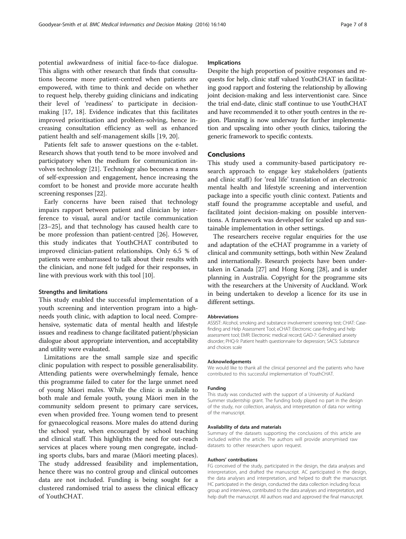potential awkwardness of initial face-to-face dialogue. This aligns with other research that finds that consultations become more patient-centred when patients are empowered, with time to think and decide on whether to request help, thereby guiding clinicians and indicating their level of 'readiness' to participate in decisionmaking [[17](#page-7-0), [18\]](#page-7-0). Evidence indicates that this facilitates improved prioritisation and problem-solving, hence increasing consultation efficiency as well as enhanced patient health and self-management skills [\[19, 20\]](#page-7-0).

Patients felt safe to answer questions on the e-tablet. Research shows that youth tend to be more involved and participatory when the medium for communication involves technology [[21](#page-7-0)]. Technology also becomes a means of self-expression and engagement, hence increasing the comfort to be honest and provide more accurate health screening responses [[22](#page-7-0)].

Early concerns have been raised that technology impairs rapport between patient and clinician by interference to visual, aural and/or tactile communication [[23](#page-7-0)–[25](#page-7-0)], and that technology has caused health care to be more profession than patient-centred [\[26](#page-7-0)]. However, this study indicates that YouthCHAT contributed to improved clinician-patient relationships. Only 6.5 % of patients were embarrassed to talk about their results with the clinician, and none felt judged for their responses, in line with previous work with this tool [\[10\]](#page-7-0).

### Strengths and limitations

This study enabled the successful implementation of a youth screening and intervention program into a highneeds youth clinic, with adaption to local need. Comprehensive, systematic data of mental health and lifestyle issues and readiness to change facilitated patient/physician dialogue about appropriate intervention, and acceptability and utility were evaluated.

Limitations are the small sample size and specific clinic population with respect to possible generalisability. Attending patients were overwhelmingly female, hence this programme failed to cater for the large unmet need of young Māori males. While the clinic is available to both male and female youth, young Māori men in the community seldom present to primary care services, even when provided free. Young women tend to present for gynaecological reasons. More males do attend during the school year, when encouraged by school teaching and clinical staff. This highlights the need for out-reach services at places where young men congregate, including sports clubs, bars and marae (Māori meeting places). The study addressed feasibility and implementation, hence there was no control group and clinical outcomes data are not included. Funding is being sought for a clustered randomised trial to assess the clinical efficacy of YouthCHAT.

#### Implications

Despite the high proportion of positive responses and requests for help, clinic staff valued YouthCHAT in facilitating good rapport and fostering the relationship by allowing joint decision-making and less interventionist care. Since the trial end-date, clinic staff continue to use YouthCHAT and have recommended it to other youth centres in the region. Planning is now underway for further implementation and upscaling into other youth clinics, tailoring the generic framework to specific contexts.

## Conclusions

This study used a community-based participatory research approach to engage key stakeholders (patients and clinic staff ) for 'real life' translation of an electronic mental health and lifestyle screening and intervention package into a specific youth clinic context. Patients and staff found the programme acceptable and useful, and facilitated joint decision-making on possible interventions. A framework was developed for scaled up and sustainable implementation in other settings.

The researchers receive regular enquiries for the use and adaptation of the eCHAT programme in a variety of clinical and community settings, both within New Zealand and internationally. Research projects have been undertaken in Canada [[27](#page-7-0)] and Hong Kong [\[28\]](#page-7-0), and is under planning in Australia. Copyright for the programme sits with the researchers at the University of Auckland. Work in being undertaken to develop a licence for its use in different settings.

#### Abbreviations

ASSIST: Alcohol, smoking and substance involvement screening test; CHAT: Casefinding and Help Assessment Tool; eCHAT: Electronic case-finding and help assessment tool; EMR: Electronic medical record; GAD-7: Generalised anxiety disorder; PHQ-9: Patient health questionnaire for depression; SACS: Substance and choices scale

#### Acknowledgements

We would like to thank all the clinical personnel and the patients who have contributed to this successful implementation of YouthCHAT.

#### Funding

This study was conducted with the support of a University of Auckland Summer studentship grant. The funding body played no part in the design of the study, nor collection, analysis, and interpretation of data nor writing of the manuscript.

#### Availability of data and materials

Summary of the datasets supporting the conclusions of this article are included within the article. The authors will provide anonymised raw datasets to other researchers upon request.

## Authors' contributions

FG conceived of the study, participated in the design, the data analyses and interpretation, and drafted the manuscript. AC participated in the design, the data analyses and interpretation, and helped to draft the manuscript. HC participated in the design, conducted the data collection including focus group and interviews, contributed to the data analyses and interpretation, and help draft the manuscript. All authors read and approved the final manuscript.